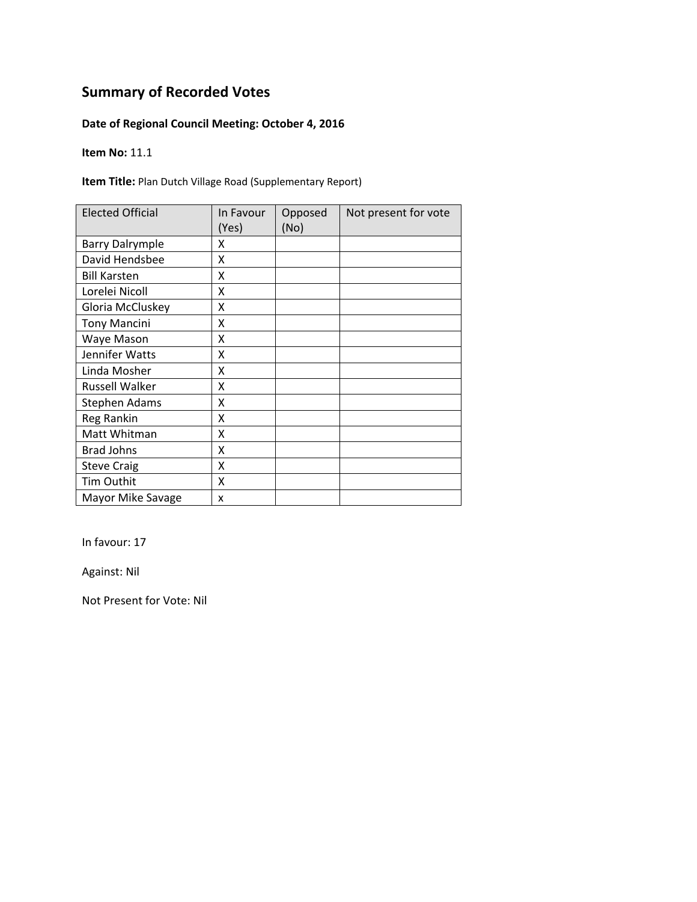### **Date of Regional Council Meeting: October 4, 2016**

**Item No:** 11.1

**Item Title:** Plan Dutch Village Road (Supplementary Report)

| <b>Elected Official</b> | In Favour<br>(Yes) | Opposed<br>(No) | Not present for vote |
|-------------------------|--------------------|-----------------|----------------------|
| <b>Barry Dalrymple</b>  | χ                  |                 |                      |
| David Hendsbee          | X                  |                 |                      |
| <b>Bill Karsten</b>     | x                  |                 |                      |
| Lorelei Nicoll          | X                  |                 |                      |
| Gloria McCluskey        | Χ                  |                 |                      |
| <b>Tony Mancini</b>     | Χ                  |                 |                      |
| Waye Mason              | X                  |                 |                      |
| Jennifer Watts          | Χ                  |                 |                      |
| Linda Mosher            | χ                  |                 |                      |
| <b>Russell Walker</b>   | χ                  |                 |                      |
| <b>Stephen Adams</b>    | χ                  |                 |                      |
| Reg Rankin              | X                  |                 |                      |
| Matt Whitman            | Χ                  |                 |                      |
| <b>Brad Johns</b>       | X                  |                 |                      |
| <b>Steve Craig</b>      | Χ                  |                 |                      |
| Tim Outhit              | Χ                  |                 |                      |
| Mayor Mike Savage       | X                  |                 |                      |

In favour: 17

Against: Nil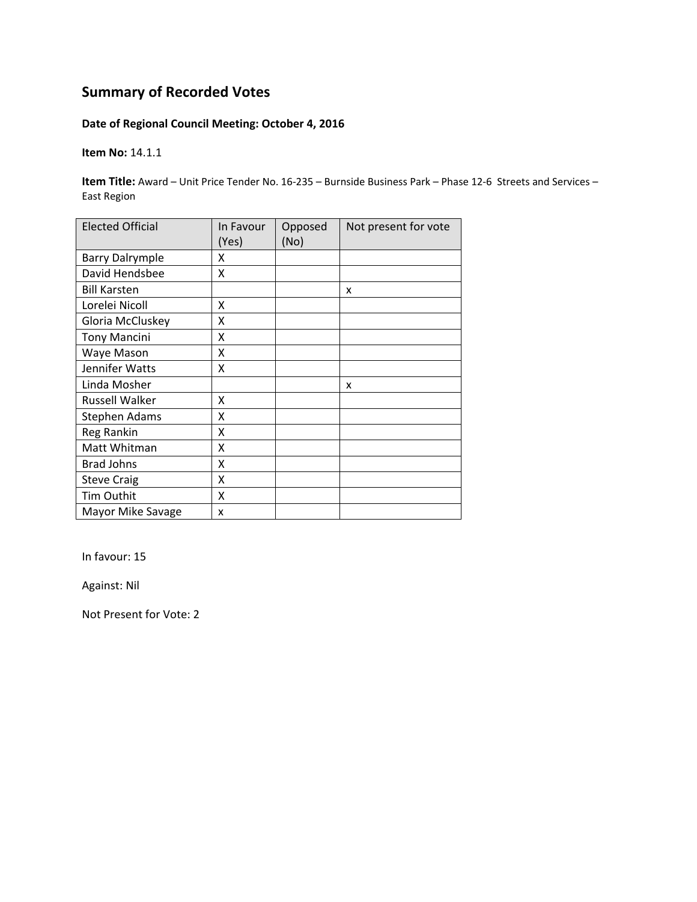### **Date of Regional Council Meeting: October 4, 2016**

**Item No:** 14.1.1

**Item Title:** Award – Unit Price Tender No. 16‐235 – Burnside Business Park – Phase 12‐6 Streets and Services – East Region

| <b>Elected Official</b> | In Favour<br>(Yes) | Opposed<br>(No) | Not present for vote |
|-------------------------|--------------------|-----------------|----------------------|
| <b>Barry Dalrymple</b>  | x                  |                 |                      |
| David Hendsbee          | X                  |                 |                      |
| <b>Bill Karsten</b>     |                    |                 | X                    |
| Lorelei Nicoll          | X                  |                 |                      |
| Gloria McCluskey        | x                  |                 |                      |
| <b>Tony Mancini</b>     | X                  |                 |                      |
| Waye Mason              | Χ                  |                 |                      |
| Jennifer Watts          | X                  |                 |                      |
| Linda Mosher            |                    |                 | x                    |
| <b>Russell Walker</b>   | x                  |                 |                      |
| <b>Stephen Adams</b>    | χ                  |                 |                      |
| <b>Reg Rankin</b>       | Χ                  |                 |                      |
| Matt Whitman            | χ                  |                 |                      |
| <b>Brad Johns</b>       | X                  |                 |                      |
| <b>Steve Craig</b>      | Χ                  |                 |                      |
| Tim Outhit              | X                  |                 |                      |
| Mayor Mike Savage       | x                  |                 |                      |

In favour: 15

Against: Nil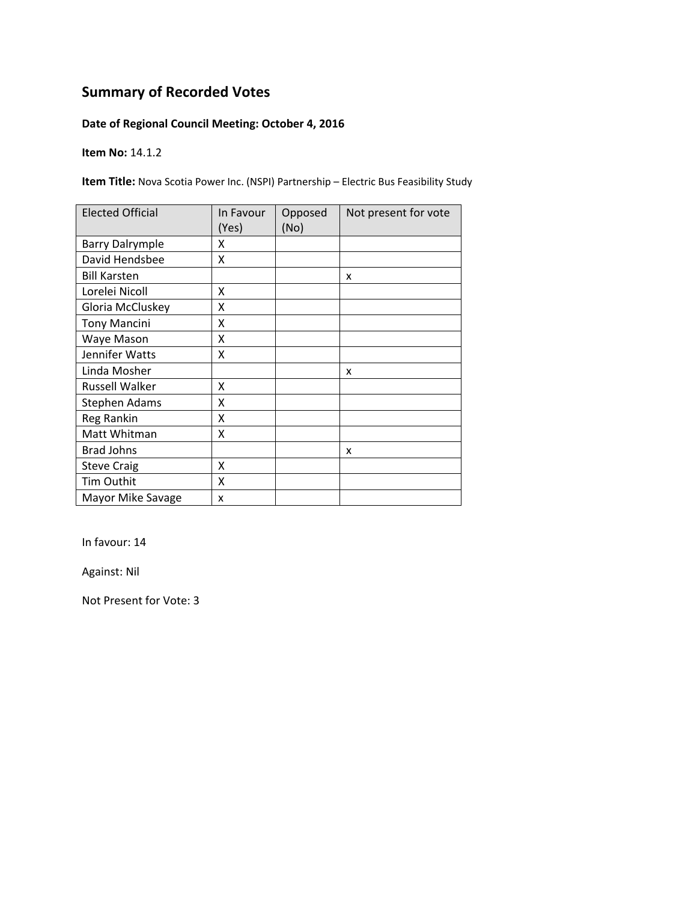### **Date of Regional Council Meeting: October 4, 2016**

**Item No:** 14.1.2

**Item Title:** Nova Scotia Power Inc. (NSPI) Partnership – Electric Bus Feasibility Study

| <b>Elected Official</b> | In Favour<br>(Yes) | Opposed<br>(No) | Not present for vote |
|-------------------------|--------------------|-----------------|----------------------|
| <b>Barry Dalrymple</b>  | x                  |                 |                      |
| David Hendsbee          | X                  |                 |                      |
| <b>Bill Karsten</b>     |                    |                 | x                    |
| Lorelei Nicoll          | x                  |                 |                      |
| Gloria McCluskey        | Χ                  |                 |                      |
| <b>Tony Mancini</b>     | Χ                  |                 |                      |
| Waye Mason              | X                  |                 |                      |
| Jennifer Watts          | X                  |                 |                      |
| Linda Mosher            |                    |                 | x                    |
| Russell Walker          | X                  |                 |                      |
| <b>Stephen Adams</b>    | X                  |                 |                      |
| Reg Rankin              | X                  |                 |                      |
| Matt Whitman            | X                  |                 |                      |
| <b>Brad Johns</b>       |                    |                 | x                    |
| <b>Steve Craig</b>      | x                  |                 |                      |
| <b>Tim Outhit</b>       | X                  |                 |                      |
| Mayor Mike Savage       | x                  |                 |                      |

In favour: 14

Against: Nil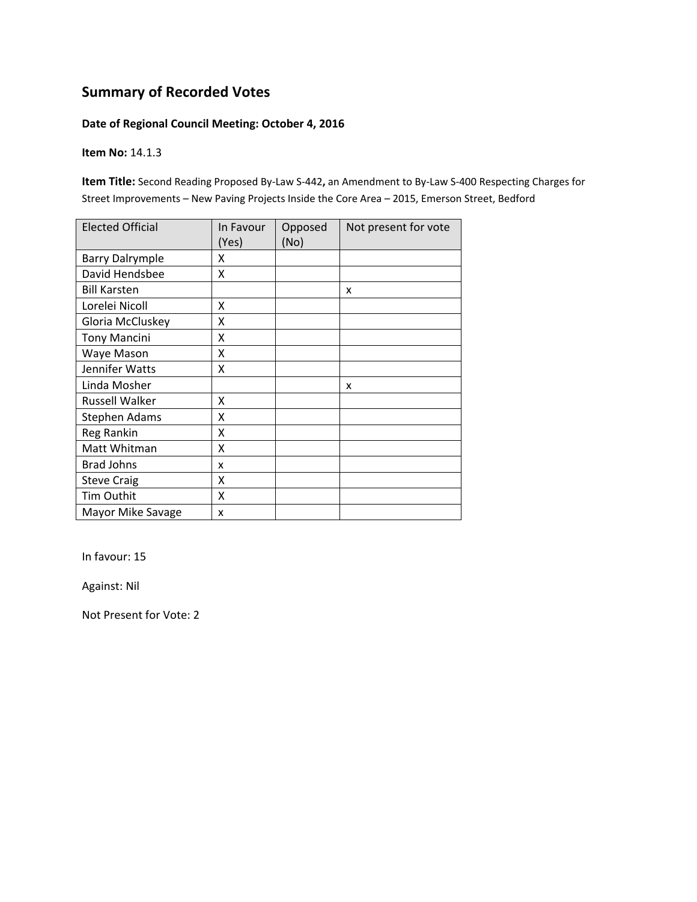### **Date of Regional Council Meeting: October 4, 2016**

**Item No:** 14.1.3

**Item Title:** Second Reading Proposed By‐Law S‐442**,** an Amendment to By‐Law S‐400 Respecting Charges for Street Improvements – New Paving Projects Inside the Core Area – 2015, Emerson Street, Bedford

| <b>Elected Official</b> | In Favour<br>(Yes) | Opposed<br>(No) | Not present for vote |
|-------------------------|--------------------|-----------------|----------------------|
| <b>Barry Dalrymple</b>  | x                  |                 |                      |
| David Hendsbee          | x                  |                 |                      |
| <b>Bill Karsten</b>     |                    |                 | X                    |
| Lorelei Nicoll          | Χ                  |                 |                      |
| Gloria McCluskey        | X                  |                 |                      |
| <b>Tony Mancini</b>     | Χ                  |                 |                      |
| Waye Mason              | Χ                  |                 |                      |
| Jennifer Watts          | Χ                  |                 |                      |
| Linda Mosher            |                    |                 | X                    |
| <b>Russell Walker</b>   | X                  |                 |                      |
| <b>Stephen Adams</b>    | Χ                  |                 |                      |
| Reg Rankin              | Χ                  |                 |                      |
| Matt Whitman            | Χ                  |                 |                      |
| <b>Brad Johns</b>       | x                  |                 |                      |
| <b>Steve Craig</b>      | X                  |                 |                      |
| Tim Outhit              | X                  |                 |                      |
| Mayor Mike Savage       | x                  |                 |                      |

In favour: 15

Against: Nil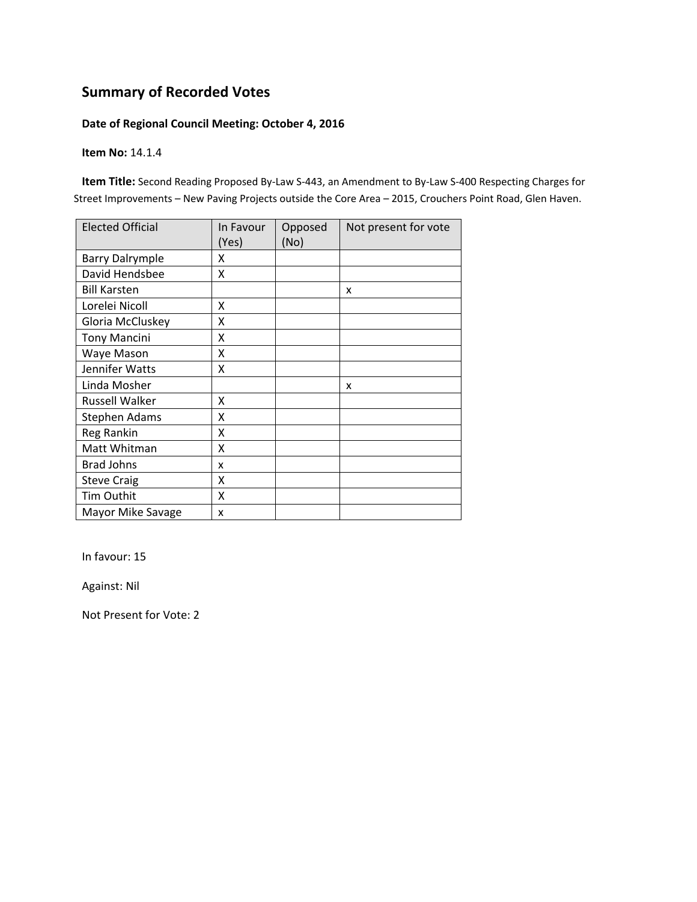### **Date of Regional Council Meeting: October 4, 2016**

**Item No:** 14.1.4

**Item Title:** Second Reading Proposed By‐Law S‐443, an Amendment to By‐Law S‐400 Respecting Charges for Street Improvements – New Paving Projects outside the Core Area – 2015, Crouchers Point Road, Glen Haven.

| <b>Elected Official</b> | In Favour<br>(Yes) | Opposed<br>(No) | Not present for vote |
|-------------------------|--------------------|-----------------|----------------------|
| <b>Barry Dalrymple</b>  | x                  |                 |                      |
| David Hendsbee          | X                  |                 |                      |
| <b>Bill Karsten</b>     |                    |                 | X                    |
| Lorelei Nicoll          | X                  |                 |                      |
| Gloria McCluskey        | X                  |                 |                      |
| <b>Tony Mancini</b>     | X                  |                 |                      |
| Waye Mason              | x                  |                 |                      |
| Jennifer Watts          | X                  |                 |                      |
| Linda Mosher            |                    |                 | x                    |
| <b>Russell Walker</b>   | X                  |                 |                      |
| <b>Stephen Adams</b>    | x                  |                 |                      |
| Reg Rankin              | x                  |                 |                      |
| Matt Whitman            | X                  |                 |                      |
| <b>Brad Johns</b>       | x                  |                 |                      |
| <b>Steve Craig</b>      | X                  |                 |                      |
| Tim Outhit              | X                  |                 |                      |
| Mayor Mike Savage       | x                  |                 |                      |

In favour: 15

Against: Nil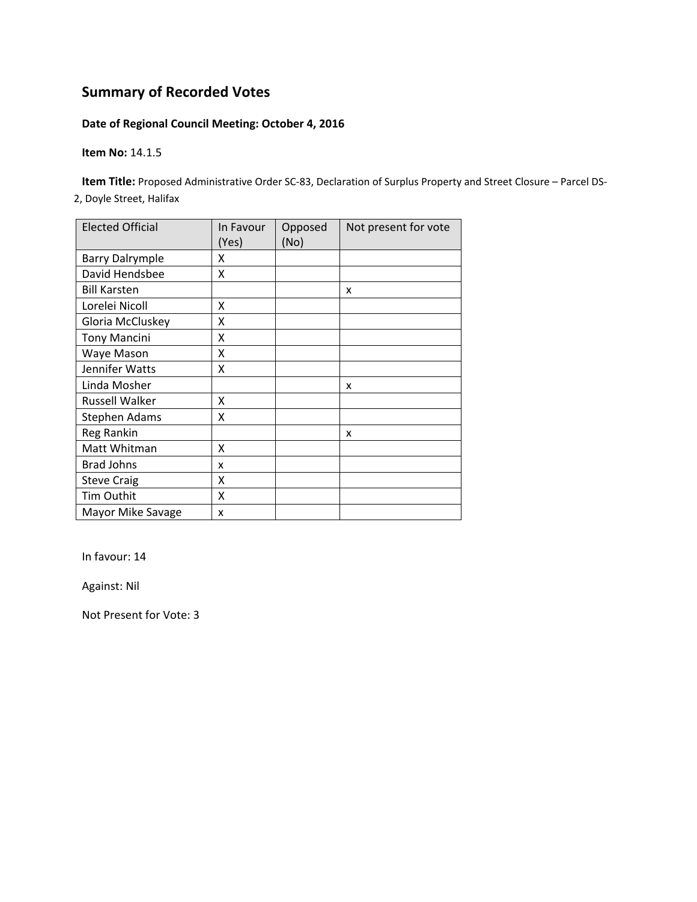### **Date of Regional Council Meeting: October 4, 2016**

**Item No:** 14.1.5

**Item Title:** Proposed Administrative Order SC‐83, Declaration of Surplus Property and Street Closure – Parcel DS‐

2, Doyle Street, Halifax

| <b>Elected Official</b> | In Favour<br>(Yes) | Opposed<br>(No) | Not present for vote |
|-------------------------|--------------------|-----------------|----------------------|
| <b>Barry Dalrymple</b>  | x                  |                 |                      |
| David Hendsbee          | x                  |                 |                      |
| <b>Bill Karsten</b>     |                    |                 | X                    |
| Lorelei Nicoll          | X                  |                 |                      |
| Gloria McCluskey        | X                  |                 |                      |
| <b>Tony Mancini</b>     | Χ                  |                 |                      |
| Waye Mason              | Χ                  |                 |                      |
| Jennifer Watts          | Χ                  |                 |                      |
| Linda Mosher            |                    |                 | X                    |
| <b>Russell Walker</b>   | x                  |                 |                      |
| <b>Stephen Adams</b>    | X                  |                 |                      |
| Reg Rankin              |                    |                 | x                    |
| Matt Whitman            | X                  |                 |                      |
| <b>Brad Johns</b>       | x                  |                 |                      |
| <b>Steve Craig</b>      | X                  |                 |                      |
| Tim Outhit              | X                  |                 |                      |
| Mayor Mike Savage       | x                  |                 |                      |

In favour: 14

Against: Nil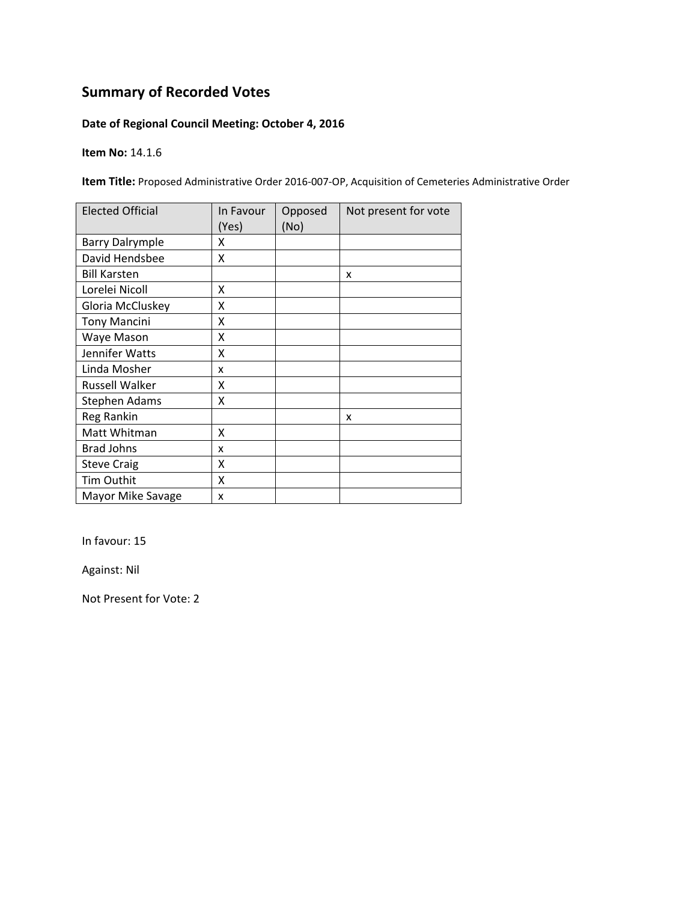### **Date of Regional Council Meeting: October 4, 2016**

**Item No:** 14.1.6

**Item Title:** Proposed Administrative Order 2016‐007‐OP, Acquisition of Cemeteries Administrative Order

| <b>Elected Official</b> | In Favour<br>(Yes) | Opposed<br>(No) | Not present for vote |
|-------------------------|--------------------|-----------------|----------------------|
| <b>Barry Dalrymple</b>  | x                  |                 |                      |
| David Hendsbee          | Χ                  |                 |                      |
| <b>Bill Karsten</b>     |                    |                 | x                    |
| Lorelei Nicoll          | x                  |                 |                      |
| Gloria McCluskey        | Χ                  |                 |                      |
| <b>Tony Mancini</b>     | Χ                  |                 |                      |
| Waye Mason              | x                  |                 |                      |
| Jennifer Watts          | x                  |                 |                      |
| Linda Mosher            | x                  |                 |                      |
| Russell Walker          | x                  |                 |                      |
| Stephen Adams           | X                  |                 |                      |
| Reg Rankin              |                    |                 | x                    |
| Matt Whitman            | X                  |                 |                      |
| <b>Brad Johns</b>       | x                  |                 |                      |
| <b>Steve Craig</b>      | X                  |                 |                      |
| <b>Tim Outhit</b>       | X                  |                 |                      |
| Mayor Mike Savage       | x                  |                 |                      |

In favour: 15

Against: Nil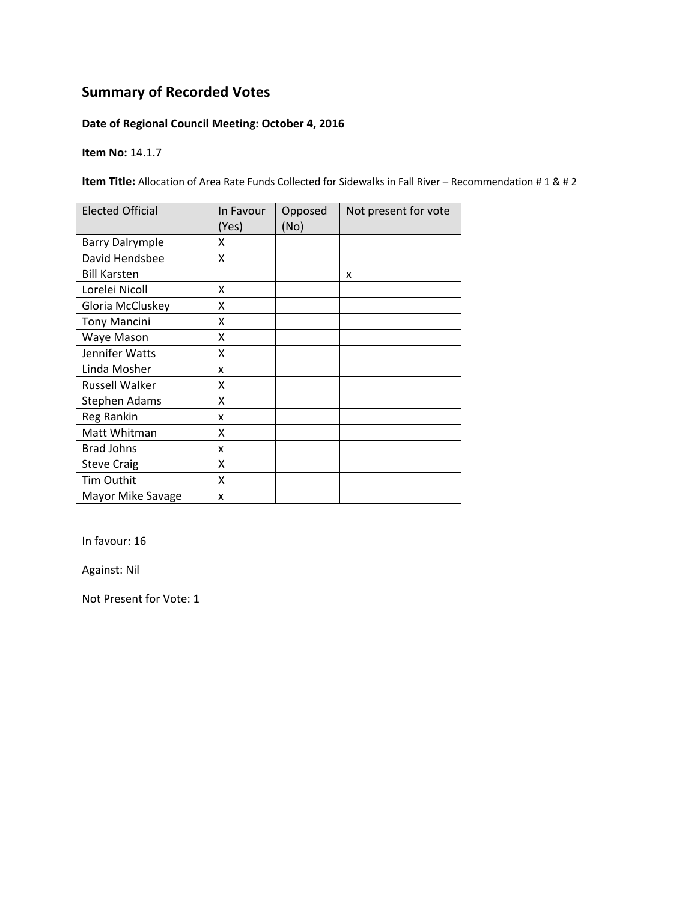### **Date of Regional Council Meeting: October 4, 2016**

**Item No:** 14.1.7

**Item Title:** Allocation of Area Rate Funds Collected for Sidewalks in Fall River – Recommendation # 1 & # 2

| <b>Elected Official</b> | In Favour<br>(Yes) | Opposed<br>(No) | Not present for vote |
|-------------------------|--------------------|-----------------|----------------------|
| <b>Barry Dalrymple</b>  | x                  |                 |                      |
| David Hendsbee          | Χ                  |                 |                      |
| <b>Bill Karsten</b>     |                    |                 | x                    |
| Lorelei Nicoll          | Χ                  |                 |                      |
| Gloria McCluskey        | Χ                  |                 |                      |
| <b>Tony Mancini</b>     | Χ                  |                 |                      |
| Waye Mason              | Χ                  |                 |                      |
| Jennifer Watts          | x                  |                 |                      |
| Linda Mosher            | x                  |                 |                      |
| Russell Walker          | x                  |                 |                      |
| <b>Stephen Adams</b>    | X                  |                 |                      |
| Reg Rankin              | x                  |                 |                      |
| Matt Whitman            | X                  |                 |                      |
| <b>Brad Johns</b>       | x                  |                 |                      |
| <b>Steve Craig</b>      | X                  |                 |                      |
| Tim Outhit              | X                  |                 |                      |
| Mayor Mike Savage       | x                  |                 |                      |

In favour: 16

Against: Nil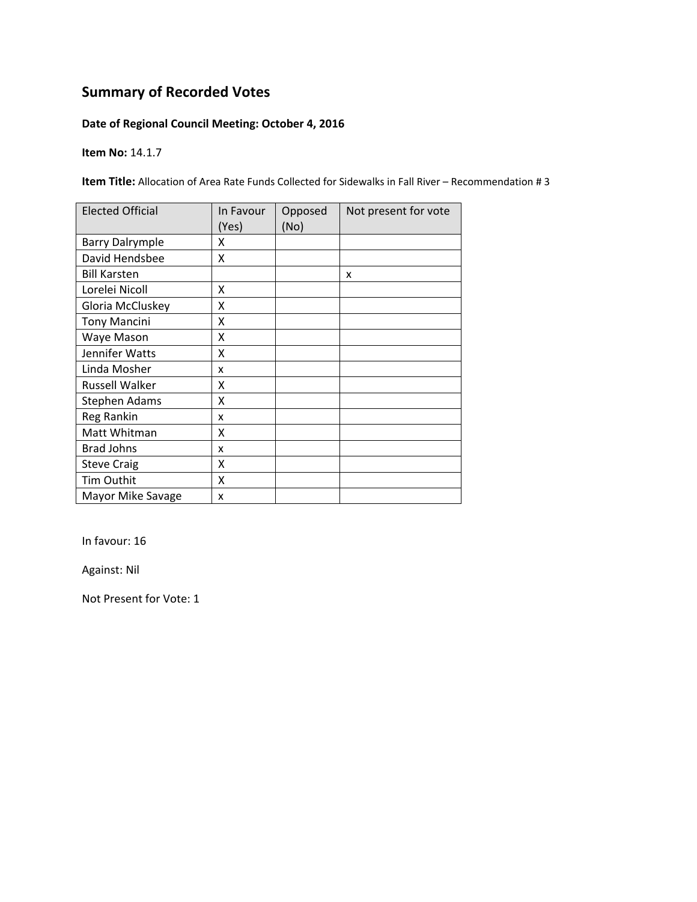### **Date of Regional Council Meeting: October 4, 2016**

**Item No:** 14.1.7

**Item Title:** Allocation of Area Rate Funds Collected for Sidewalks in Fall River – Recommendation # 3

| <b>Elected Official</b> | In Favour<br>(Yes) | Opposed<br>(No) | Not present for vote |
|-------------------------|--------------------|-----------------|----------------------|
| <b>Barry Dalrymple</b>  | x                  |                 |                      |
| David Hendsbee          | X                  |                 |                      |
| <b>Bill Karsten</b>     |                    |                 | x                    |
| Lorelei Nicoll          | X                  |                 |                      |
| Gloria McCluskey        | X                  |                 |                      |
| <b>Tony Mancini</b>     | Χ                  |                 |                      |
| Waye Mason              | Χ                  |                 |                      |
| Jennifer Watts          | Χ                  |                 |                      |
| Linda Mosher            | x                  |                 |                      |
| Russell Walker          | x                  |                 |                      |
| Stephen Adams           | X                  |                 |                      |
| Reg Rankin              | x                  |                 |                      |
| Matt Whitman            | X                  |                 |                      |
| <b>Brad Johns</b>       | x                  |                 |                      |
| <b>Steve Craig</b>      | X                  |                 |                      |
| Tim Outhit              | X                  |                 |                      |
| Mayor Mike Savage       | x                  |                 |                      |

In favour: 16

Against: Nil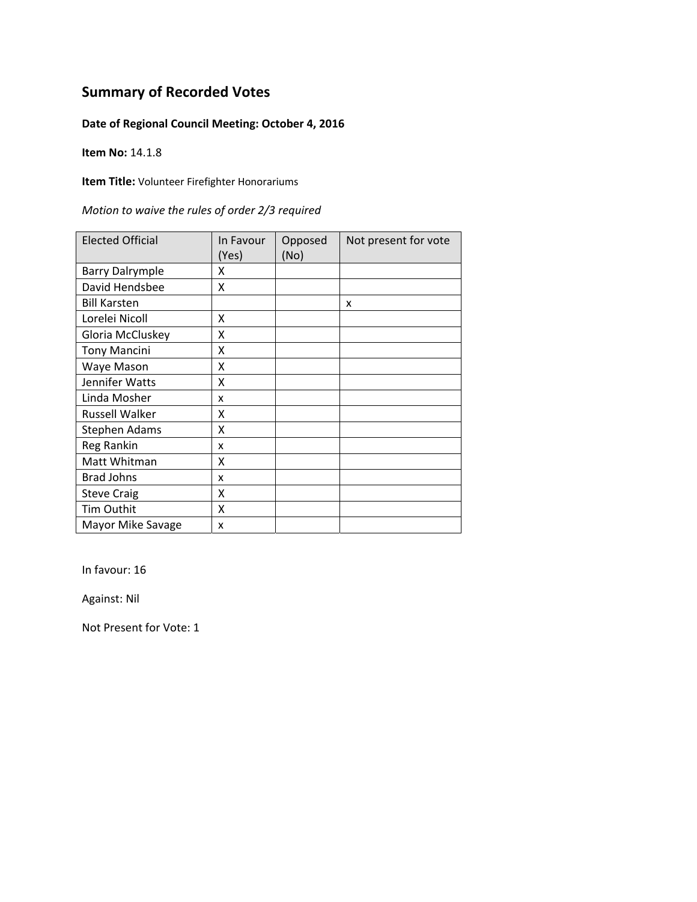### **Date of Regional Council Meeting: October 4, 2016**

**Item No:** 14.1.8

**Item Title:** Volunteer Firefighter Honorariums

| Motion to waive the rules of order 2/3 required |  |  |  |
|-------------------------------------------------|--|--|--|
|-------------------------------------------------|--|--|--|

| <b>Elected Official</b> | In Favour<br>(Yes) | Opposed<br>(No) | Not present for vote |
|-------------------------|--------------------|-----------------|----------------------|
| <b>Barry Dalrymple</b>  | x                  |                 |                      |
| David Hendsbee          | X                  |                 |                      |
| <b>Bill Karsten</b>     |                    |                 | X                    |
| Lorelei Nicoll          | X                  |                 |                      |
| Gloria McCluskey        | Χ                  |                 |                      |
| <b>Tony Mancini</b>     | Χ                  |                 |                      |
| Waye Mason              | Χ                  |                 |                      |
| Jennifer Watts          | Χ                  |                 |                      |
| Linda Mosher            | x                  |                 |                      |
| <b>Russell Walker</b>   | x                  |                 |                      |
| <b>Stephen Adams</b>    | Χ                  |                 |                      |
| Reg Rankin              | x                  |                 |                      |
| Matt Whitman            | χ                  |                 |                      |
| <b>Brad Johns</b>       | x                  |                 |                      |
| <b>Steve Craig</b>      | Χ                  |                 |                      |
| Tim Outhit              | X                  |                 |                      |
| Mayor Mike Savage       | X                  |                 |                      |

In favour: 16

Against: Nil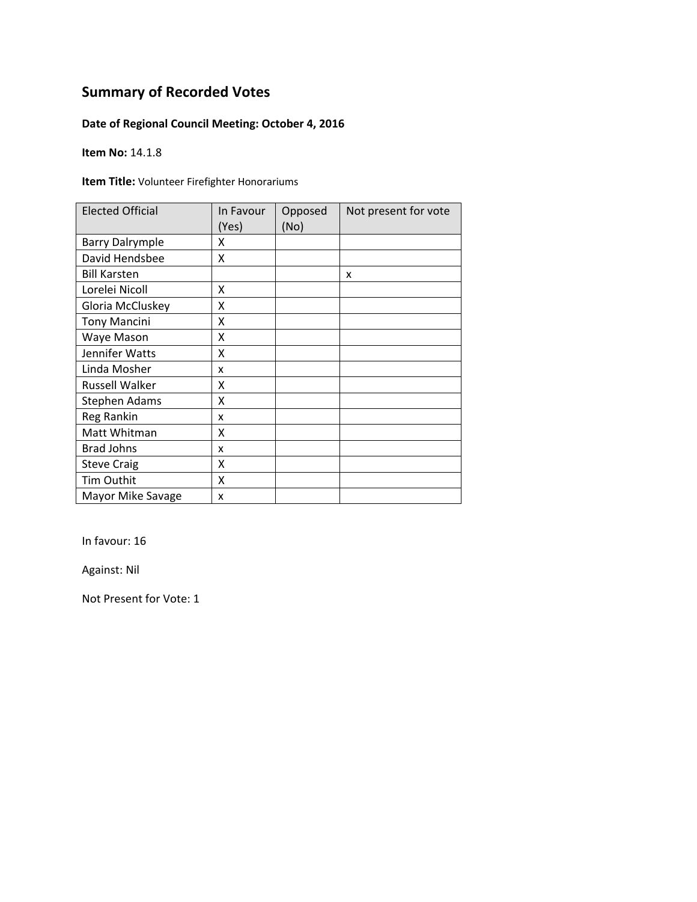### **Date of Regional Council Meeting: October 4, 2016**

**Item No:** 14.1.8

**Item Title:** Volunteer Firefighter Honorariums

| <b>Elected Official</b> | In Favour<br>(Yes) | Opposed<br>(No) | Not present for vote |
|-------------------------|--------------------|-----------------|----------------------|
| <b>Barry Dalrymple</b>  | x                  |                 |                      |
| David Hendsbee          | X                  |                 |                      |
| <b>Bill Karsten</b>     |                    |                 | X                    |
| Lorelei Nicoll          | X                  |                 |                      |
| Gloria McCluskey        | Χ                  |                 |                      |
| <b>Tony Mancini</b>     | Χ                  |                 |                      |
| Waye Mason              | Χ                  |                 |                      |
| Jennifer Watts          | Χ                  |                 |                      |
| Linda Mosher            | x                  |                 |                      |
| <b>Russell Walker</b>   | x                  |                 |                      |
| <b>Stephen Adams</b>    | Χ                  |                 |                      |
| Reg Rankin              | x                  |                 |                      |
| Matt Whitman            | χ                  |                 |                      |
| <b>Brad Johns</b>       | x                  |                 |                      |
| <b>Steve Craig</b>      | Χ                  |                 |                      |
| Tim Outhit              | X                  |                 |                      |
| Mayor Mike Savage       | X                  |                 |                      |

In favour: 16

Against: Nil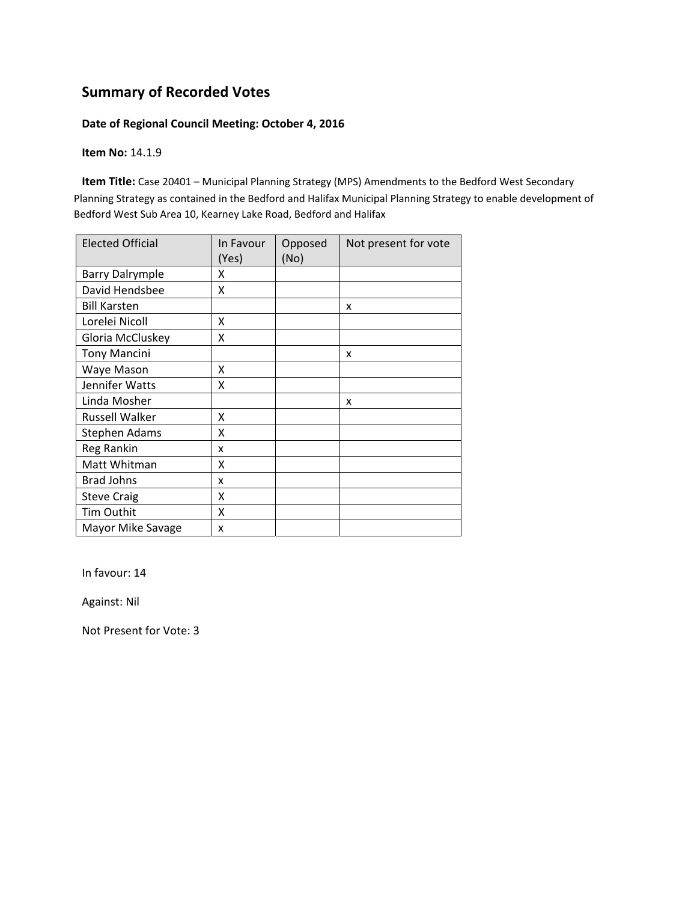#### **Date of Regional Council Meeting: October 4, 2016**

**Item No:** 14.1.9

**Item Title:** Case 20401 – Municipal Planning Strategy (MPS) Amendments to the Bedford West Secondary Planning Strategy as contained in the Bedford and Halifax Municipal Planning Strategy to enable development of Bedford West Sub Area 10, Kearney Lake Road, Bedford and Halifax

| <b>Elected Official</b> | In Favour<br>(Yes) | Opposed<br>(No) | Not present for vote |
|-------------------------|--------------------|-----------------|----------------------|
| <b>Barry Dalrymple</b>  | x                  |                 |                      |
| David Hendsbee          | Χ                  |                 |                      |
| <b>Bill Karsten</b>     |                    |                 | x                    |
| Lorelei Nicoll          | x                  |                 |                      |
| Gloria McCluskey        | Χ                  |                 |                      |
| <b>Tony Mancini</b>     |                    |                 | x                    |
| Waye Mason              | X                  |                 |                      |
| Jennifer Watts          | X                  |                 |                      |
| Linda Mosher            |                    |                 | x                    |
| <b>Russell Walker</b>   | X                  |                 |                      |
| <b>Stephen Adams</b>    | Χ                  |                 |                      |
| Reg Rankin              | x                  |                 |                      |
| Matt Whitman            | Χ                  |                 |                      |
| <b>Brad Johns</b>       | x                  |                 |                      |
| <b>Steve Craig</b>      | Χ                  |                 |                      |
| Tim Outhit              | x                  |                 |                      |
| Mayor Mike Savage       | x                  |                 |                      |

In favour: 14

Against: Nil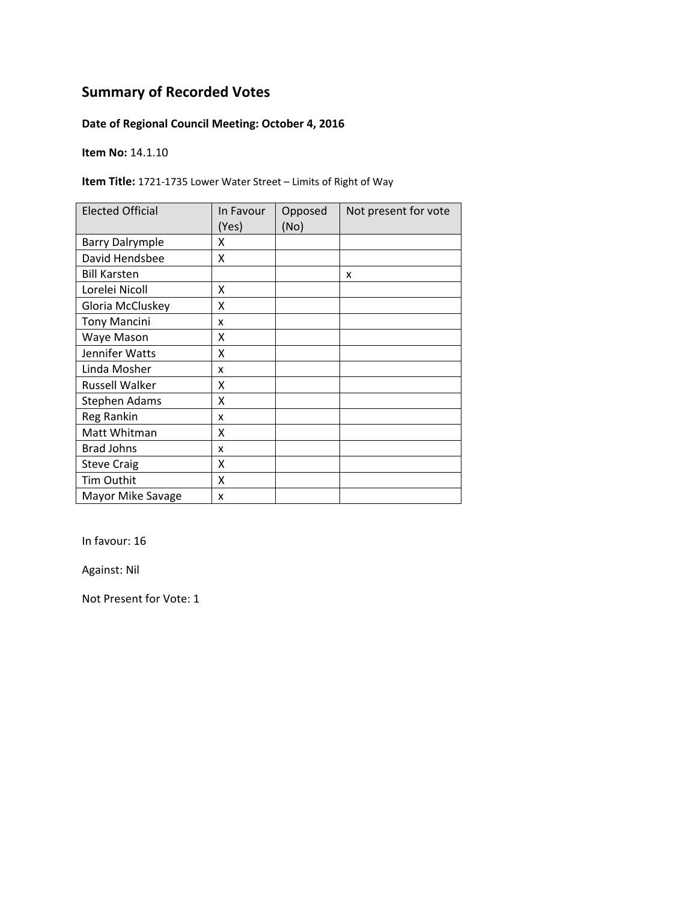### **Date of Regional Council Meeting: October 4, 2016**

**Item No:** 14.1.10

**Item Title:** 1721‐1735 Lower Water Street – Limits of Right of Way

| <b>Elected Official</b> | In Favour<br>(Yes) | Opposed<br>(No) | Not present for vote |
|-------------------------|--------------------|-----------------|----------------------|
| <b>Barry Dalrymple</b>  | x                  |                 |                      |
| David Hendsbee          | X                  |                 |                      |
| <b>Bill Karsten</b>     |                    |                 | X                    |
| Lorelei Nicoll          | X                  |                 |                      |
| Gloria McCluskey        | X                  |                 |                      |
| <b>Tony Mancini</b>     | x                  |                 |                      |
| Waye Mason              | χ                  |                 |                      |
| Jennifer Watts          | Χ                  |                 |                      |
| Linda Mosher            | x                  |                 |                      |
| <b>Russell Walker</b>   | x                  |                 |                      |
| Stephen Adams           | x                  |                 |                      |
| Reg Rankin              | x                  |                 |                      |
| Matt Whitman            | χ                  |                 |                      |
| <b>Brad Johns</b>       | x                  |                 |                      |
| <b>Steve Craig</b>      | Χ                  |                 |                      |
| Tim Outhit              | Χ                  |                 |                      |
| Mayor Mike Savage       | x                  |                 |                      |

In favour: 16

Against: Nil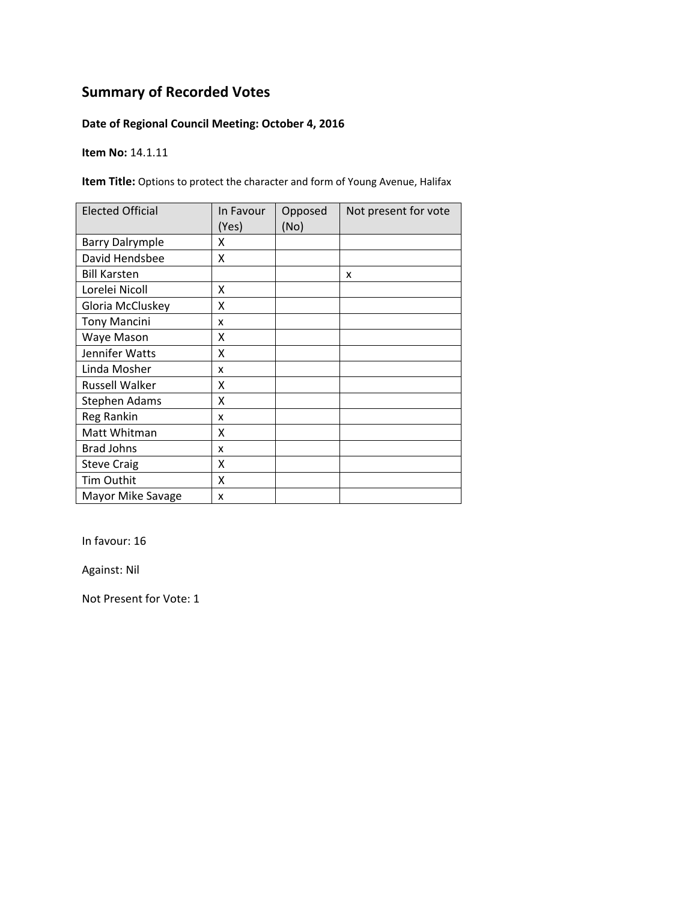### **Date of Regional Council Meeting: October 4, 2016**

**Item No:** 14.1.11

**Item Title:** Options to protect the character and form of Young Avenue, Halifax

| <b>Elected Official</b> | In Favour<br>(Yes) | Opposed<br>(No) | Not present for vote |
|-------------------------|--------------------|-----------------|----------------------|
| <b>Barry Dalrymple</b>  | x                  |                 |                      |
| David Hendsbee          | χ                  |                 |                      |
| <b>Bill Karsten</b>     |                    |                 | x                    |
| Lorelei Nicoll          | X                  |                 |                      |
| Gloria McCluskey        | X                  |                 |                      |
| <b>Tony Mancini</b>     | x                  |                 |                      |
| Waye Mason              | Χ                  |                 |                      |
| Jennifer Watts          | Χ                  |                 |                      |
| Linda Mosher            | x                  |                 |                      |
| Russell Walker          | χ                  |                 |                      |
| Stephen Adams           | χ                  |                 |                      |
| Reg Rankin              | x                  |                 |                      |
| Matt Whitman            | Χ                  |                 |                      |
| <b>Brad Johns</b>       | x                  |                 |                      |
| <b>Steve Craig</b>      | Χ                  |                 |                      |
| Tim Outhit              | Χ                  |                 |                      |
| Mayor Mike Savage       | X                  |                 |                      |

In favour: 16

Against: Nil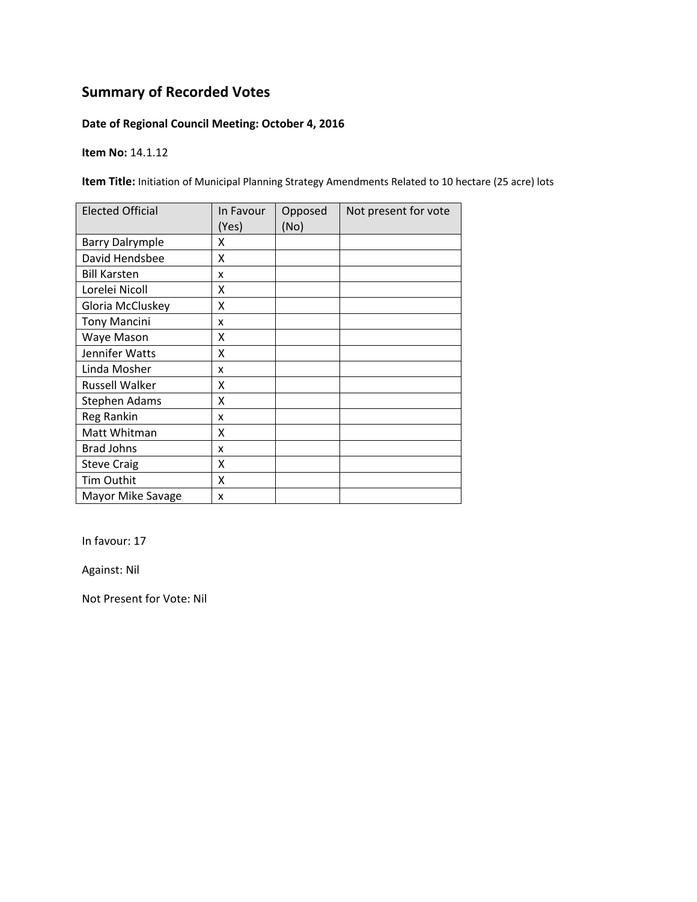### **Date of Regional Council Meeting: October 4, 2016**

**Item No:** 14.1.12

**Item Title:** Initiation of Municipal Planning Strategy Amendments Related to 10 hectare (25 acre) lots

| <b>Elected Official</b> | In Favour<br>(Yes) | Opposed<br>(No) | Not present for vote |
|-------------------------|--------------------|-----------------|----------------------|
| <b>Barry Dalrymple</b>  | x                  |                 |                      |
| David Hendsbee          | X                  |                 |                      |
| <b>Bill Karsten</b>     | x                  |                 |                      |
| Lorelei Nicoll          | x                  |                 |                      |
| Gloria McCluskey        | X                  |                 |                      |
| <b>Tony Mancini</b>     | x                  |                 |                      |
| Waye Mason              | x                  |                 |                      |
| Jennifer Watts          | X                  |                 |                      |
| Linda Mosher            | x                  |                 |                      |
| Russell Walker          | X                  |                 |                      |
| Stephen Adams           | X                  |                 |                      |
| Reg Rankin              | x                  |                 |                      |
| Matt Whitman            | Χ                  |                 |                      |
| <b>Brad Johns</b>       | x                  |                 |                      |
| <b>Steve Craig</b>      | X                  |                 |                      |
| Tim Outhit              | X                  |                 |                      |
| Mayor Mike Savage       | x                  |                 |                      |

In favour: 17

Against: Nil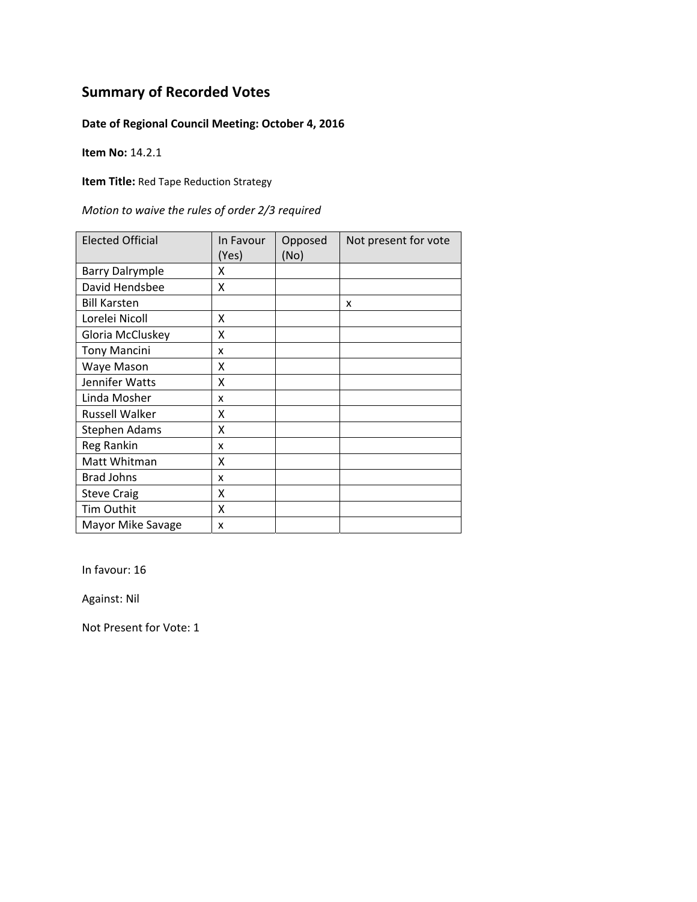### **Date of Regional Council Meeting: October 4, 2016**

**Item No:** 14.2.1

**Item Title:** Red Tape Reduction Strategy

|  |  | Motion to waive the rules of order 2/3 required |
|--|--|-------------------------------------------------|
|--|--|-------------------------------------------------|

| <b>Elected Official</b> | In Favour<br>(Yes) | Opposed<br>(No) | Not present for vote |
|-------------------------|--------------------|-----------------|----------------------|
| <b>Barry Dalrymple</b>  | x                  |                 |                      |
| David Hendsbee          | X                  |                 |                      |
| <b>Bill Karsten</b>     |                    |                 | X                    |
| Lorelei Nicoll          | x                  |                 |                      |
| Gloria McCluskey        | X                  |                 |                      |
| <b>Tony Mancini</b>     | x                  |                 |                      |
| Waye Mason              | x                  |                 |                      |
| Jennifer Watts          | Χ                  |                 |                      |
| Linda Mosher            | x                  |                 |                      |
| <b>Russell Walker</b>   | x                  |                 |                      |
| Stephen Adams           | X                  |                 |                      |
| <b>Reg Rankin</b>       | x                  |                 |                      |
| Matt Whitman            | X                  |                 |                      |
| <b>Brad Johns</b>       | x                  |                 |                      |
| <b>Steve Craig</b>      | Χ                  |                 |                      |
| Tim Outhit              | X                  |                 |                      |
| Mayor Mike Savage       | x                  |                 |                      |

In favour: 16

Against: Nil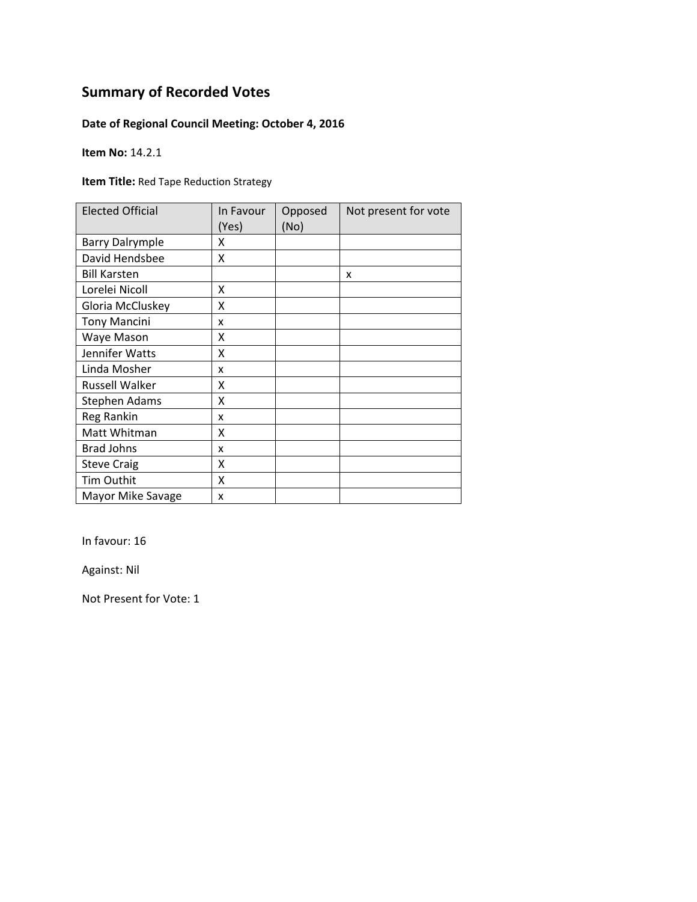### **Date of Regional Council Meeting: October 4, 2016**

**Item No:** 14.2.1

**Item Title:** Red Tape Reduction Strategy

| <b>Elected Official</b> | In Favour<br>(Yes) | Opposed<br>(No) | Not present for vote |
|-------------------------|--------------------|-----------------|----------------------|
| <b>Barry Dalrymple</b>  | x                  |                 |                      |
| David Hendsbee          | X                  |                 |                      |
| <b>Bill Karsten</b>     |                    |                 | X                    |
| Lorelei Nicoll          | X                  |                 |                      |
| Gloria McCluskey        | Χ                  |                 |                      |
| <b>Tony Mancini</b>     | x                  |                 |                      |
| Waye Mason              | X                  |                 |                      |
| Jennifer Watts          | Χ                  |                 |                      |
| Linda Mosher            | x                  |                 |                      |
| <b>Russell Walker</b>   | x                  |                 |                      |
| <b>Stephen Adams</b>    | Χ                  |                 |                      |
| Reg Rankin              | x                  |                 |                      |
| Matt Whitman            | χ                  |                 |                      |
| <b>Brad Johns</b>       | x                  |                 |                      |
| <b>Steve Craig</b>      | Χ                  |                 |                      |
| Tim Outhit              | X                  |                 |                      |
| Mayor Mike Savage       | X                  |                 |                      |

In favour: 16

Against: Nil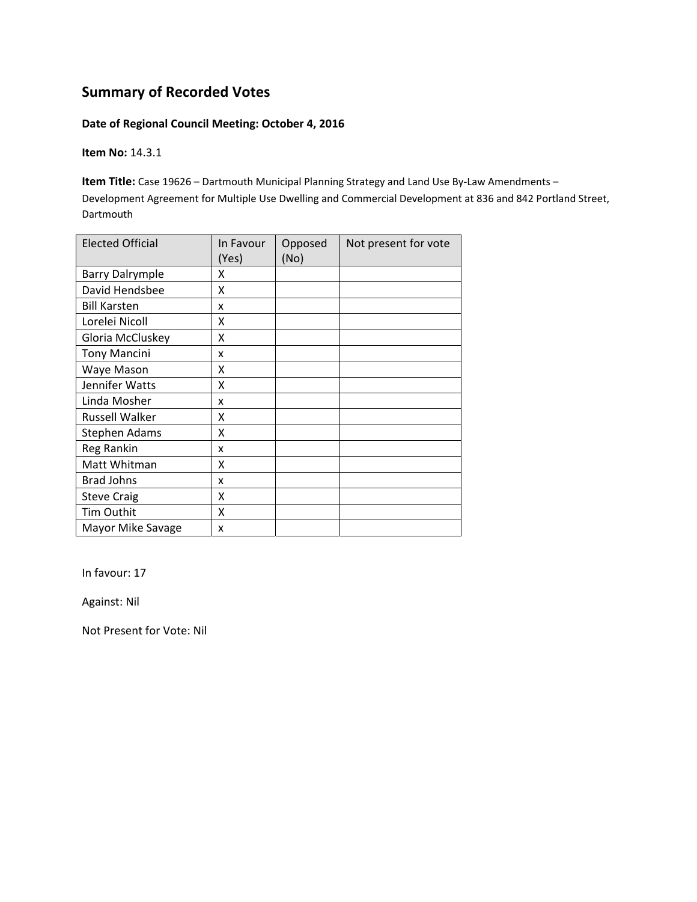#### **Date of Regional Council Meeting: October 4, 2016**

**Item No:** 14.3.1

**Item Title:** Case 19626 – Dartmouth Municipal Planning Strategy and Land Use By‐Law Amendments – Development Agreement for Multiple Use Dwelling and Commercial Development at 836 and 842 Portland Street, Dartmouth

| <b>Elected Official</b> | In Favour<br>(Yes) | Opposed<br>(No) | Not present for vote |
|-------------------------|--------------------|-----------------|----------------------|
| <b>Barry Dalrymple</b>  | x                  |                 |                      |
| David Hendsbee          | X                  |                 |                      |
| <b>Bill Karsten</b>     | x                  |                 |                      |
| Lorelei Nicoll          | X                  |                 |                      |
| Gloria McCluskey        | X                  |                 |                      |
| <b>Tony Mancini</b>     | x                  |                 |                      |
| Waye Mason              | Χ                  |                 |                      |
| Jennifer Watts          | X                  |                 |                      |
| Linda Mosher            | x                  |                 |                      |
| <b>Russell Walker</b>   | X                  |                 |                      |
| Stephen Adams           | X                  |                 |                      |
| <b>Reg Rankin</b>       | x                  |                 |                      |
| Matt Whitman            | x                  |                 |                      |
| <b>Brad Johns</b>       | x                  |                 |                      |
| <b>Steve Craig</b>      | X                  |                 |                      |
| <b>Tim Outhit</b>       | X                  |                 |                      |
| Mayor Mike Savage       | x                  |                 |                      |

In favour: 17

Against: Nil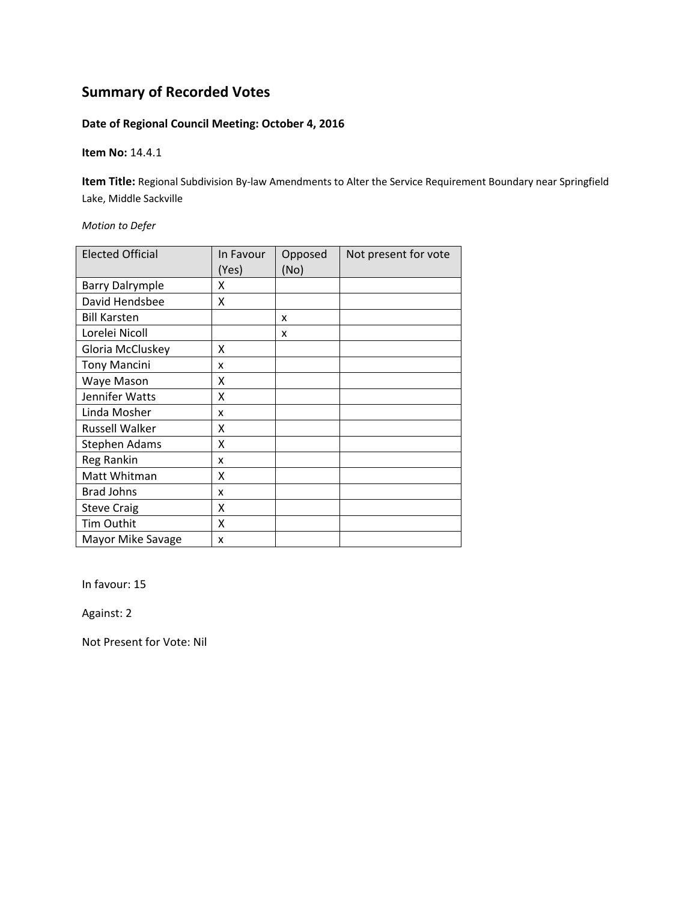### **Date of Regional Council Meeting: October 4, 2016**

**Item No:** 14.4.1

**Item Title:** Regional Subdivision By‐law Amendments to Alter the Service Requirement Boundary near Springfield Lake, Middle Sackville

*Motion to Defer*

| <b>Elected Official</b> | In Favour<br>(Yes) | Opposed<br>(No) | Not present for vote |
|-------------------------|--------------------|-----------------|----------------------|
| <b>Barry Dalrymple</b>  | x                  |                 |                      |
| David Hendsbee          | Χ                  |                 |                      |
| <b>Bill Karsten</b>     |                    | x               |                      |
| Lorelei Nicoll          |                    | x               |                      |
| Gloria McCluskey        | Χ                  |                 |                      |
| <b>Tony Mancini</b>     | x                  |                 |                      |
| Waye Mason              | χ                  |                 |                      |
| Jennifer Watts          | Χ                  |                 |                      |
| Linda Mosher            | x                  |                 |                      |
| <b>Russell Walker</b>   | χ                  |                 |                      |
| Stephen Adams           | χ                  |                 |                      |
| Reg Rankin              | x                  |                 |                      |
| Matt Whitman            | Χ                  |                 |                      |
| <b>Brad Johns</b>       | x                  |                 |                      |
| <b>Steve Craig</b>      | Χ                  |                 |                      |
| Tim Outhit              | Χ                  |                 |                      |
| Mayor Mike Savage       | x                  |                 |                      |

In favour: 15

Against: 2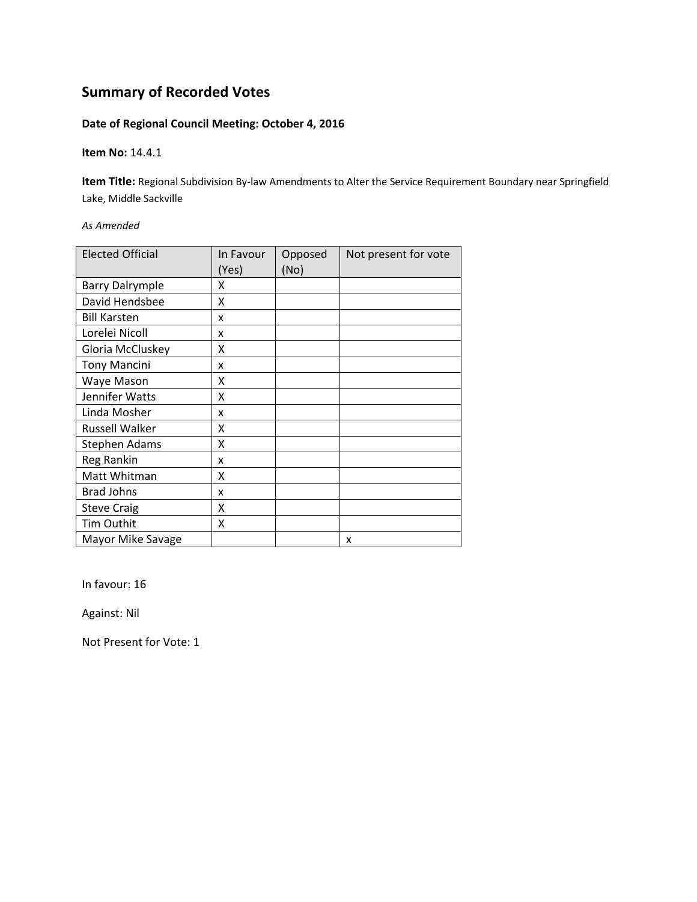### **Date of Regional Council Meeting: October 4, 2016**

**Item No:** 14.4.1

**Item Title:** Regional Subdivision By‐law Amendments to Alter the Service Requirement Boundary near Springfield Lake, Middle Sackville

*As Amended*

| <b>Elected Official</b> | In Favour<br>(Yes) | Opposed<br>(No) | Not present for vote |
|-------------------------|--------------------|-----------------|----------------------|
| <b>Barry Dalrymple</b>  | x                  |                 |                      |
| David Hendsbee          | x                  |                 |                      |
| <b>Bill Karsten</b>     | x                  |                 |                      |
| Lorelei Nicoll          | x                  |                 |                      |
| Gloria McCluskey        | χ                  |                 |                      |
| <b>Tony Mancini</b>     | x                  |                 |                      |
| Waye Mason              | x                  |                 |                      |
| Jennifer Watts          | Χ                  |                 |                      |
| Linda Mosher            | x                  |                 |                      |
| <b>Russell Walker</b>   | χ                  |                 |                      |
| Stephen Adams           | Χ                  |                 |                      |
| <b>Reg Rankin</b>       | x                  |                 |                      |
| Matt Whitman            | X                  |                 |                      |
| <b>Brad Johns</b>       | x                  |                 |                      |
| <b>Steve Craig</b>      | X                  |                 |                      |
| Tim Outhit              | X                  |                 |                      |
| Mayor Mike Savage       |                    |                 | x                    |

In favour: 16

Against: Nil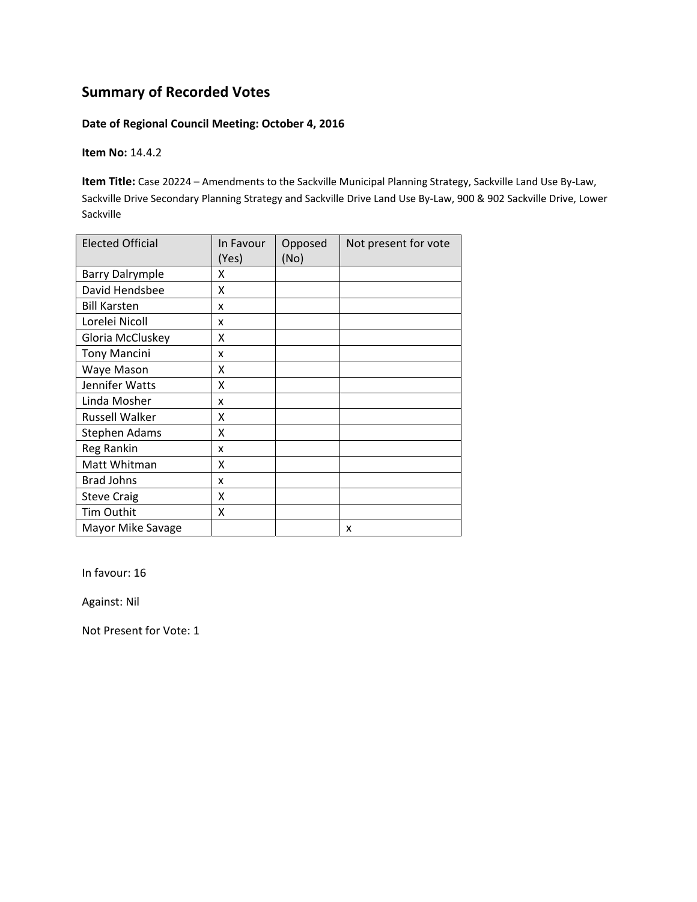#### **Date of Regional Council Meeting: October 4, 2016**

**Item No:** 14.4.2

**Item Title:** Case 20224 – Amendments to the Sackville Municipal Planning Strategy, Sackville Land Use By‐Law, Sackville Drive Secondary Planning Strategy and Sackville Drive Land Use By‐Law, 900 & 902 Sackville Drive, Lower Sackville

| <b>Elected Official</b> | In Favour<br>(Yes) | Opposed<br>(No) | Not present for vote |
|-------------------------|--------------------|-----------------|----------------------|
| <b>Barry Dalrymple</b>  | x                  |                 |                      |
| David Hendsbee          | X                  |                 |                      |
| <b>Bill Karsten</b>     | x                  |                 |                      |
| Lorelei Nicoll          | x                  |                 |                      |
| Gloria McCluskey        | χ                  |                 |                      |
| <b>Tony Mancini</b>     | x                  |                 |                      |
| Waye Mason              | Χ                  |                 |                      |
| Jennifer Watts          | X                  |                 |                      |
| Linda Mosher            | x                  |                 |                      |
| <b>Russell Walker</b>   | X                  |                 |                      |
| Stephen Adams           | X                  |                 |                      |
| <b>Reg Rankin</b>       | x                  |                 |                      |
| Matt Whitman            | x                  |                 |                      |
| <b>Brad Johns</b>       | x                  |                 |                      |
| <b>Steve Craig</b>      | X                  |                 |                      |
| <b>Tim Outhit</b>       | X                  |                 |                      |
| Mayor Mike Savage       |                    |                 | x                    |

In favour: 16

Against: Nil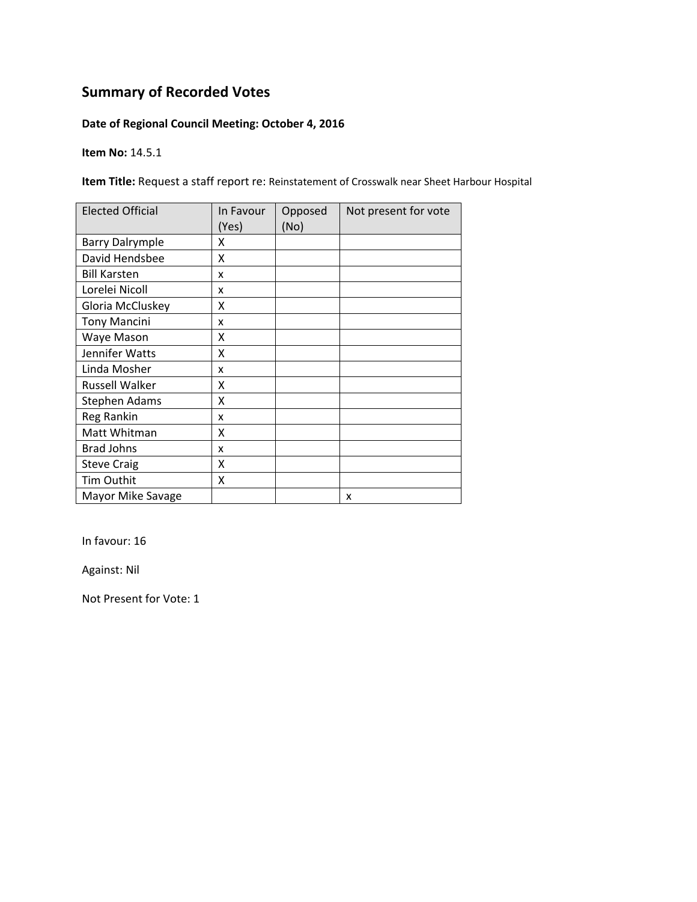### **Date of Regional Council Meeting: October 4, 2016**

**Item No:** 14.5.1

**Item Title:** Request a staff report re: Reinstatement of Crosswalk near Sheet Harbour Hospital

| <b>Elected Official</b> | In Favour<br>(Yes) | Opposed<br>(No) | Not present for vote |
|-------------------------|--------------------|-----------------|----------------------|
| <b>Barry Dalrymple</b>  | χ                  |                 |                      |
| David Hendsbee          | χ                  |                 |                      |
| <b>Bill Karsten</b>     | x                  |                 |                      |
| Lorelei Nicoll          | x                  |                 |                      |
| Gloria McCluskey        | X                  |                 |                      |
| <b>Tony Mancini</b>     | x                  |                 |                      |
| Waye Mason              | Χ                  |                 |                      |
| Jennifer Watts          | Χ                  |                 |                      |
| Linda Mosher            | x                  |                 |                      |
| Russell Walker          | χ                  |                 |                      |
| Stephen Adams           | χ                  |                 |                      |
| Reg Rankin              | x                  |                 |                      |
| Matt Whitman            | Χ                  |                 |                      |
| <b>Brad Johns</b>       | x                  |                 |                      |
| <b>Steve Craig</b>      | Χ                  |                 |                      |
| Tim Outhit              | Χ                  |                 |                      |
| Mayor Mike Savage       |                    |                 | x                    |

In favour: 16

Against: Nil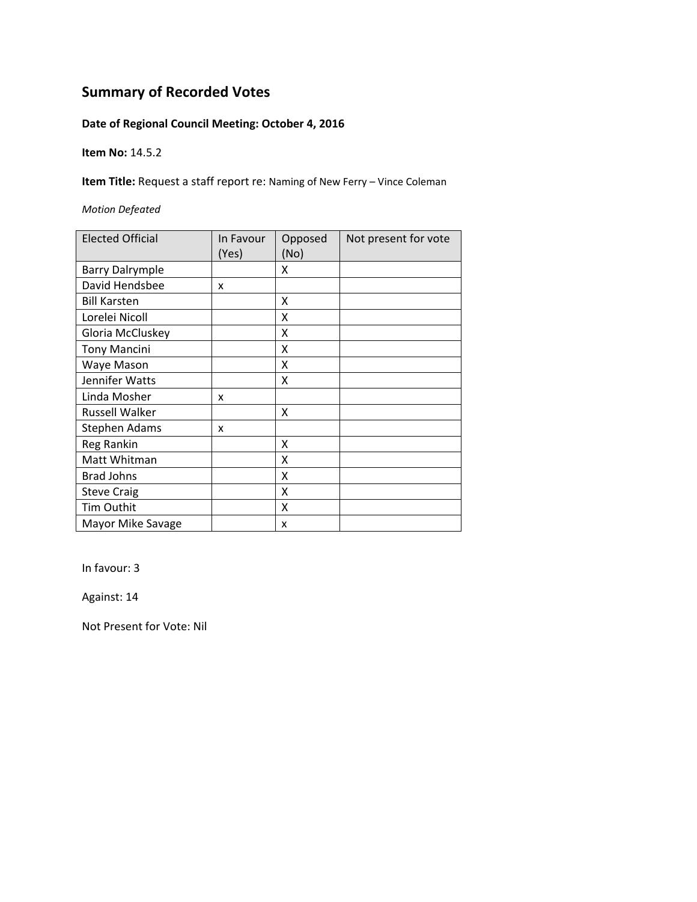### **Date of Regional Council Meeting: October 4, 2016**

**Item No:** 14.5.2

**Item Title:** Request a staff report re: Naming of New Ferry – Vince Coleman

*Motion Defeated*

| <b>Elected Official</b> | In Favour<br>(Yes) | Opposed<br>(No) | Not present for vote |
|-------------------------|--------------------|-----------------|----------------------|
| <b>Barry Dalrymple</b>  |                    | X               |                      |
| David Hendsbee          | X                  |                 |                      |
| <b>Bill Karsten</b>     |                    | X               |                      |
| Lorelei Nicoll          |                    | X               |                      |
| Gloria McCluskey        |                    | x               |                      |
| <b>Tony Mancini</b>     |                    | X               |                      |
| Waye Mason              |                    | X               |                      |
| Jennifer Watts          |                    | x               |                      |
| Linda Mosher            | x                  |                 |                      |
| <b>Russell Walker</b>   |                    | x               |                      |
| Stephen Adams           | x                  |                 |                      |
| Reg Rankin              |                    | X               |                      |
| Matt Whitman            |                    | Χ               |                      |
| <b>Brad Johns</b>       |                    | X               |                      |
| <b>Steve Craig</b>      |                    | X               |                      |
| Tim Outhit              |                    | Χ               |                      |
| Mayor Mike Savage       |                    | x               |                      |

In favour: 3

Against: 14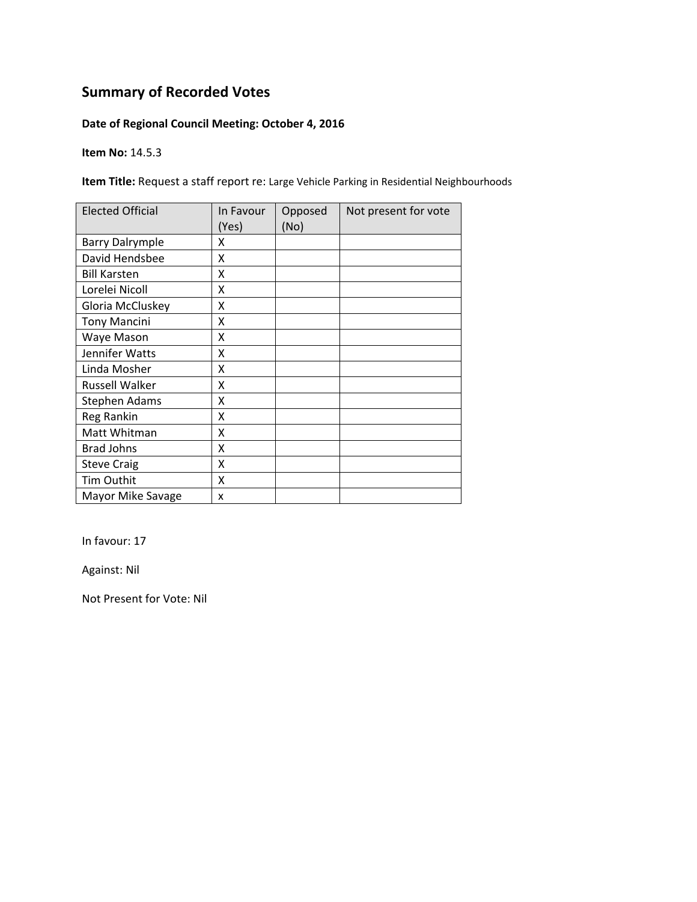### **Date of Regional Council Meeting: October 4, 2016**

**Item No:** 14.5.3

**Item Title:** Request a staff report re: Large Vehicle Parking in Residential Neighbourhoods

| <b>Elected Official</b> | In Favour<br>(Yes) | Opposed<br>(No) | Not present for vote |
|-------------------------|--------------------|-----------------|----------------------|
| <b>Barry Dalrymple</b>  | χ                  |                 |                      |
| David Hendsbee          | Χ                  |                 |                      |
| <b>Bill Karsten</b>     | χ                  |                 |                      |
| Lorelei Nicoll          | X                  |                 |                      |
| Gloria McCluskey        | Χ                  |                 |                      |
| <b>Tony Mancini</b>     | Χ                  |                 |                      |
| Waye Mason              | Χ                  |                 |                      |
| Jennifer Watts          | x                  |                 |                      |
| Linda Mosher            | χ                  |                 |                      |
| Russell Walker          | X                  |                 |                      |
| Stephen Adams           | X                  |                 |                      |
| Reg Rankin              | Χ                  |                 |                      |
| Matt Whitman            | X                  |                 |                      |
| <b>Brad Johns</b>       | X                  |                 |                      |
| <b>Steve Craig</b>      | X                  |                 |                      |
| Tim Outhit              | X                  |                 |                      |
| Mayor Mike Savage       | X                  |                 |                      |

In favour: 17

Against: Nil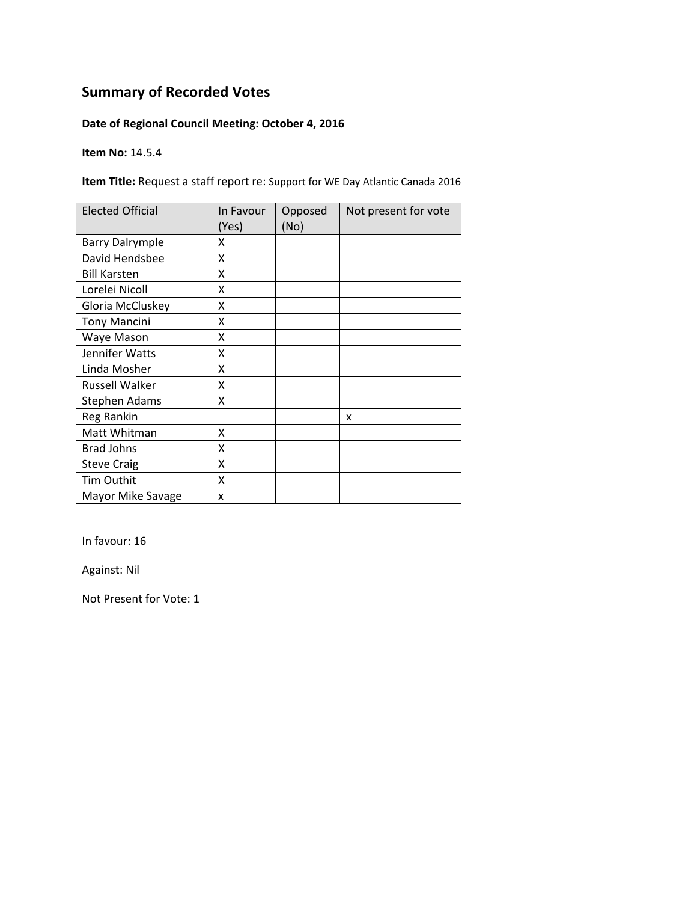### **Date of Regional Council Meeting: October 4, 2016**

**Item No:** 14.5.4

**Item Title:** Request a staff report re: Support for WE Day Atlantic Canada 2016

| <b>Elected Official</b> | In Favour<br>(Yes) | Opposed<br>(No) | Not present for vote |
|-------------------------|--------------------|-----------------|----------------------|
| <b>Barry Dalrymple</b>  | x                  |                 |                      |
| David Hendsbee          | x                  |                 |                      |
| <b>Bill Karsten</b>     | x                  |                 |                      |
| Lorelei Nicoll          | X                  |                 |                      |
| Gloria McCluskey        | X                  |                 |                      |
| <b>Tony Mancini</b>     | Χ                  |                 |                      |
| Waye Mason              | Χ                  |                 |                      |
| Jennifer Watts          | Χ                  |                 |                      |
| Linda Mosher            | x                  |                 |                      |
| Russell Walker          | X                  |                 |                      |
| Stephen Adams           | X                  |                 |                      |
| Reg Rankin              |                    |                 | x                    |
| Matt Whitman            | x                  |                 |                      |
| <b>Brad Johns</b>       | X                  |                 |                      |
| <b>Steve Craig</b>      | X                  |                 |                      |
| Tim Outhit              | X                  |                 |                      |
| Mayor Mike Savage       | x                  |                 |                      |

In favour: 16

Against: Nil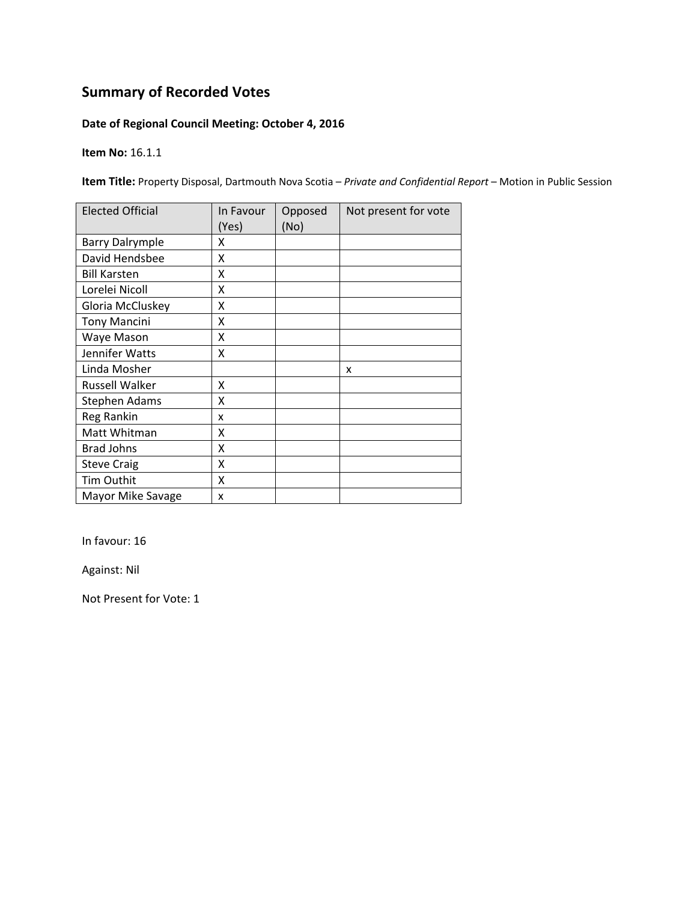### **Date of Regional Council Meeting: October 4, 2016**

**Item No:** 16.1.1

**Item Title:** Property Disposal, Dartmouth Nova Scotia – *Private and Confidential Report* – Motion in Public Session

| <b>Elected Official</b> | In Favour<br>(Yes) | Opposed<br>(No) | Not present for vote |
|-------------------------|--------------------|-----------------|----------------------|
| <b>Barry Dalrymple</b>  | x                  |                 |                      |
| David Hendsbee          | X                  |                 |                      |
| <b>Bill Karsten</b>     | x                  |                 |                      |
| Lorelei Nicoll          | X                  |                 |                      |
| Gloria McCluskey        | Χ                  |                 |                      |
| <b>Tony Mancini</b>     | Χ                  |                 |                      |
| Waye Mason              | x                  |                 |                      |
| Jennifer Watts          | x                  |                 |                      |
| Linda Mosher            |                    |                 | x                    |
| <b>Russell Walker</b>   | Χ                  |                 |                      |
| <b>Stephen Adams</b>    | X                  |                 |                      |
| Reg Rankin              | x                  |                 |                      |
| Matt Whitman            | X                  |                 |                      |
| <b>Brad Johns</b>       | X                  |                 |                      |
| <b>Steve Craig</b>      | X                  |                 |                      |
| <b>Tim Outhit</b>       | X                  |                 |                      |
| Mayor Mike Savage       | X                  |                 |                      |

In favour: 16

Against: Nil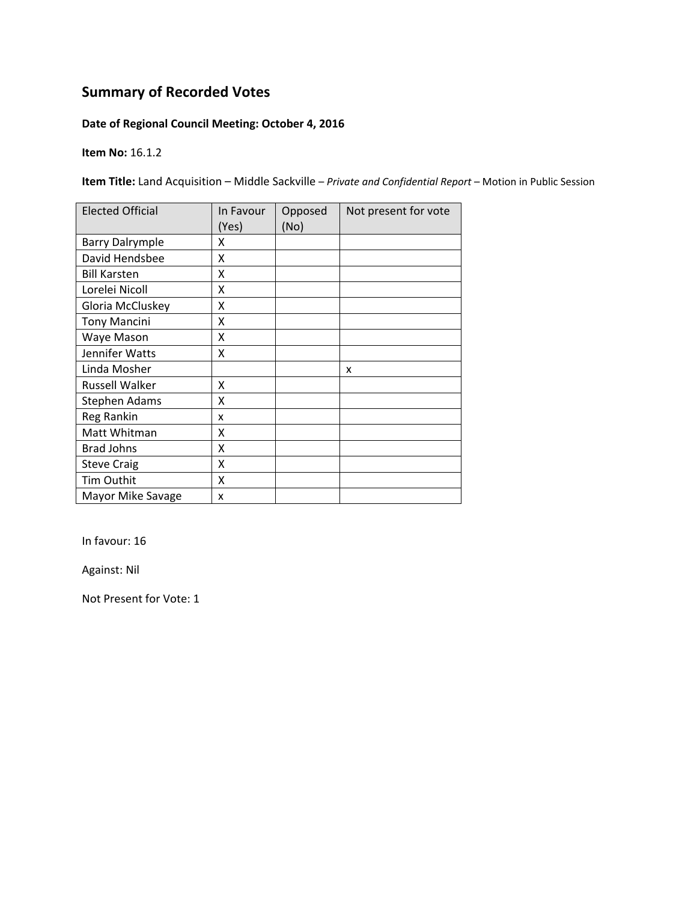### **Date of Regional Council Meeting: October 4, 2016**

**Item No:** 16.1.2

**Item Title:** Land Acquisition – Middle Sackville – *Private and Confidential Report* – Motion in Public Session

| <b>Elected Official</b> | In Favour<br>(Yes) | Opposed<br>(No) | Not present for vote |
|-------------------------|--------------------|-----------------|----------------------|
| <b>Barry Dalrymple</b>  | x                  |                 |                      |
| David Hendsbee          | x                  |                 |                      |
| <b>Bill Karsten</b>     | x                  |                 |                      |
| Lorelei Nicoll          | X                  |                 |                      |
| Gloria McCluskey        | X                  |                 |                      |
| <b>Tony Mancini</b>     | Χ                  |                 |                      |
| Waye Mason              | Χ                  |                 |                      |
| Jennifer Watts          | Χ                  |                 |                      |
| Linda Mosher            |                    |                 | x                    |
| Russell Walker          | x                  |                 |                      |
| Stephen Adams           | X                  |                 |                      |
| Reg Rankin              | x                  |                 |                      |
| Matt Whitman            | X                  |                 |                      |
| <b>Brad Johns</b>       | X                  |                 |                      |
| <b>Steve Craig</b>      | X                  |                 |                      |
| Tim Outhit              | X                  |                 |                      |
| Mayor Mike Savage       | x                  |                 |                      |

In favour: 16

Against: Nil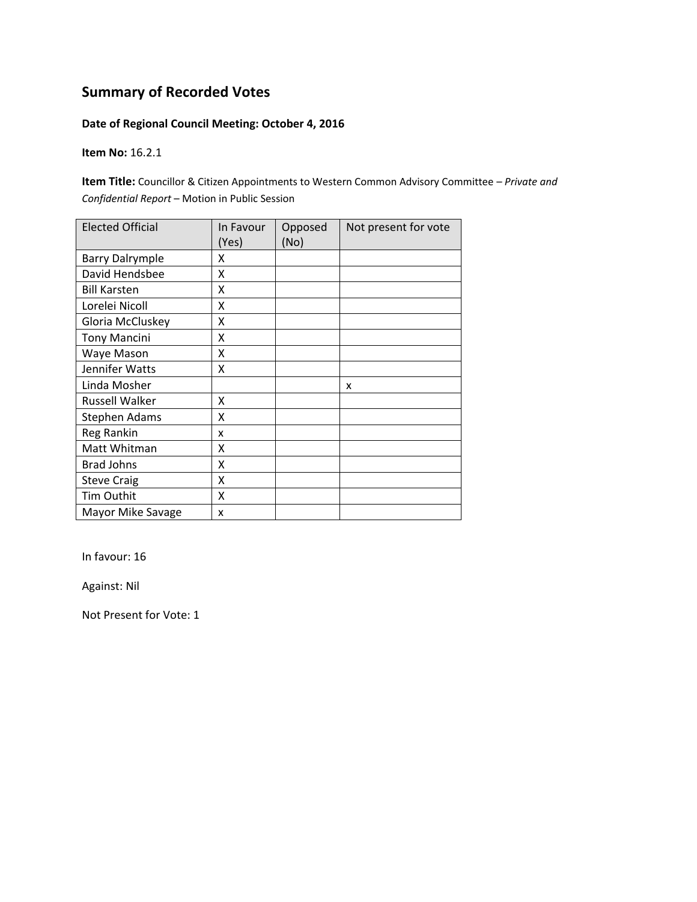### **Date of Regional Council Meeting: October 4, 2016**

**Item No:** 16.2.1

**Item Title:** Councillor & Citizen Appointments to Western Common Advisory Committee – *Private and Confidential Report* – Motion in Public Session

| <b>Elected Official</b> | In Favour<br>(Yes) | Opposed<br>(No) | Not present for vote |
|-------------------------|--------------------|-----------------|----------------------|
| <b>Barry Dalrymple</b>  | x                  |                 |                      |
| David Hendsbee          | Χ                  |                 |                      |
| <b>Bill Karsten</b>     | Χ                  |                 |                      |
| Lorelei Nicoll          | X                  |                 |                      |
| Gloria McCluskey        | X                  |                 |                      |
| <b>Tony Mancini</b>     | X                  |                 |                      |
| Waye Mason              | Χ                  |                 |                      |
| Jennifer Watts          | Χ                  |                 |                      |
| Linda Mosher            |                    |                 | x                    |
| <b>Russell Walker</b>   | X                  |                 |                      |
| <b>Stephen Adams</b>    | x                  |                 |                      |
| Reg Rankin              | x                  |                 |                      |
| Matt Whitman            | Χ                  |                 |                      |
| <b>Brad Johns</b>       | Χ                  |                 |                      |
| <b>Steve Craig</b>      | X                  |                 |                      |
| Tim Outhit              | X                  |                 |                      |
| Mayor Mike Savage       | x                  |                 |                      |

In favour: 16

Against: Nil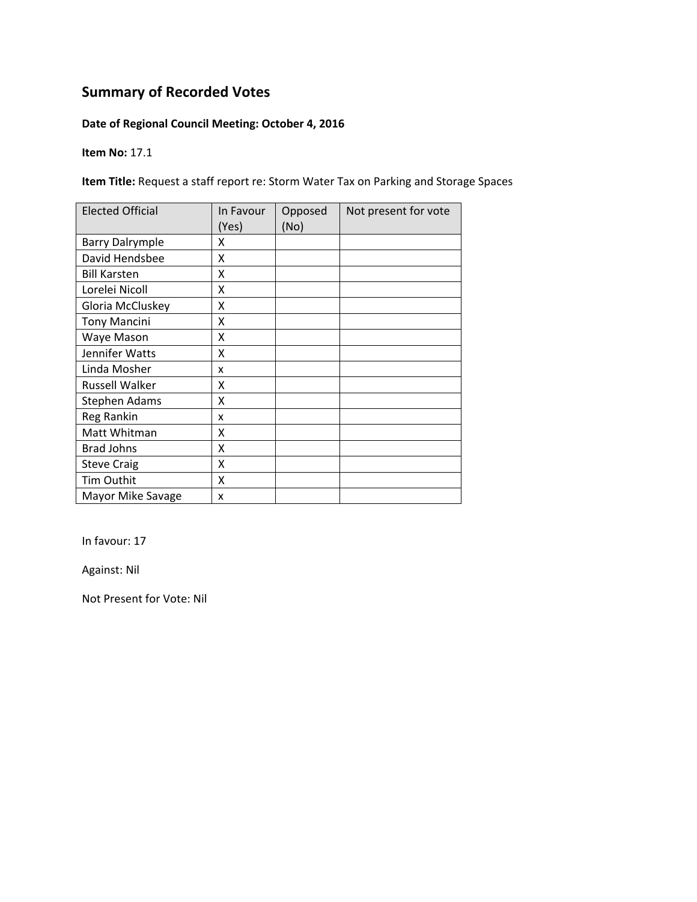### **Date of Regional Council Meeting: October 4, 2016**

**Item No:** 17.1

**Item Title:** Request a staff report re: Storm Water Tax on Parking and Storage Spaces

| <b>Elected Official</b> | In Favour<br>(Yes) | Opposed<br>(No) | Not present for vote |
|-------------------------|--------------------|-----------------|----------------------|
| <b>Barry Dalrymple</b>  | x                  |                 |                      |
| David Hendsbee          | x                  |                 |                      |
| <b>Bill Karsten</b>     | x                  |                 |                      |
| Lorelei Nicoll          | X                  |                 |                      |
| Gloria McCluskey        | X                  |                 |                      |
| <b>Tony Mancini</b>     | Χ                  |                 |                      |
| Waye Mason              | Χ                  |                 |                      |
| Jennifer Watts          | Χ                  |                 |                      |
| Linda Mosher            | x                  |                 |                      |
| Russell Walker          | x                  |                 |                      |
| Stephen Adams           | X                  |                 |                      |
| Reg Rankin              | x                  |                 |                      |
| Matt Whitman            | X                  |                 |                      |
| <b>Brad Johns</b>       | X                  |                 |                      |
| <b>Steve Craig</b>      | X                  |                 |                      |
| Tim Outhit              | X                  |                 |                      |
| Mayor Mike Savage       | x                  |                 |                      |

In favour: 17

Against: Nil